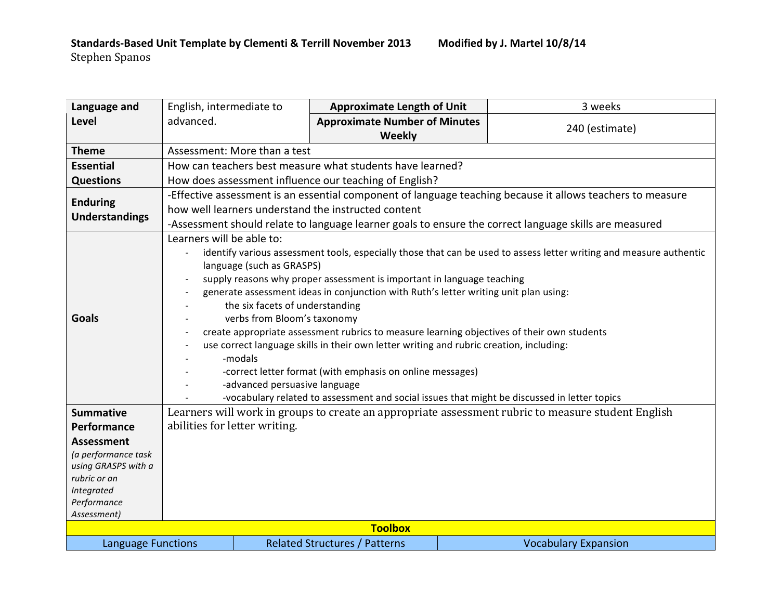| Language and                             | English, intermediate to                                                                                                                                                                                                                                                                                                                                                                                                                                                                                                                                                                                                                                                                                                                                                                                            | <b>Approximate Length of Unit</b>              |  | 3 weeks                     |  |  |
|------------------------------------------|---------------------------------------------------------------------------------------------------------------------------------------------------------------------------------------------------------------------------------------------------------------------------------------------------------------------------------------------------------------------------------------------------------------------------------------------------------------------------------------------------------------------------------------------------------------------------------------------------------------------------------------------------------------------------------------------------------------------------------------------------------------------------------------------------------------------|------------------------------------------------|--|-----------------------------|--|--|
| Level                                    | advanced.                                                                                                                                                                                                                                                                                                                                                                                                                                                                                                                                                                                                                                                                                                                                                                                                           | <b>Approximate Number of Minutes</b><br>Weekly |  | 240 (estimate)              |  |  |
| <b>Theme</b>                             | Assessment: More than a test                                                                                                                                                                                                                                                                                                                                                                                                                                                                                                                                                                                                                                                                                                                                                                                        |                                                |  |                             |  |  |
| <b>Essential</b>                         | How can teachers best measure what students have learned?                                                                                                                                                                                                                                                                                                                                                                                                                                                                                                                                                                                                                                                                                                                                                           |                                                |  |                             |  |  |
| <b>Questions</b>                         | How does assessment influence our teaching of English?                                                                                                                                                                                                                                                                                                                                                                                                                                                                                                                                                                                                                                                                                                                                                              |                                                |  |                             |  |  |
| <b>Enduring</b><br><b>Understandings</b> | -Effective assessment is an essential component of language teaching because it allows teachers to measure<br>how well learners understand the instructed content<br>-Assessment should relate to language learner goals to ensure the correct language skills are measured                                                                                                                                                                                                                                                                                                                                                                                                                                                                                                                                         |                                                |  |                             |  |  |
| <b>Goals</b>                             | Learners will be able to:<br>identify various assessment tools, especially those that can be used to assess letter writing and measure authentic<br>language (such as GRASPS)<br>supply reasons why proper assessment is important in language teaching<br>generate assessment ideas in conjunction with Ruth's letter writing unit plan using:<br>the six facets of understanding<br>verbs from Bloom's taxonomy<br>create appropriate assessment rubrics to measure learning objectives of their own students<br>use correct language skills in their own letter writing and rubric creation, including:<br>-modals<br>-correct letter format (with emphasis on online messages)<br>-advanced persuasive language<br>-vocabulary related to assessment and social issues that might be discussed in letter topics |                                                |  |                             |  |  |
| <b>Summative</b>                         | Learners will work in groups to create an appropriate assessment rubric to measure student English                                                                                                                                                                                                                                                                                                                                                                                                                                                                                                                                                                                                                                                                                                                  |                                                |  |                             |  |  |
| Performance                              | abilities for letter writing.                                                                                                                                                                                                                                                                                                                                                                                                                                                                                                                                                                                                                                                                                                                                                                                       |                                                |  |                             |  |  |
| <b>Assessment</b>                        |                                                                                                                                                                                                                                                                                                                                                                                                                                                                                                                                                                                                                                                                                                                                                                                                                     |                                                |  |                             |  |  |
| (a performance task                      |                                                                                                                                                                                                                                                                                                                                                                                                                                                                                                                                                                                                                                                                                                                                                                                                                     |                                                |  |                             |  |  |
| using GRASPS with a                      |                                                                                                                                                                                                                                                                                                                                                                                                                                                                                                                                                                                                                                                                                                                                                                                                                     |                                                |  |                             |  |  |
| rubric or an<br><b>Integrated</b>        |                                                                                                                                                                                                                                                                                                                                                                                                                                                                                                                                                                                                                                                                                                                                                                                                                     |                                                |  |                             |  |  |
| Performance                              |                                                                                                                                                                                                                                                                                                                                                                                                                                                                                                                                                                                                                                                                                                                                                                                                                     |                                                |  |                             |  |  |
| Assessment)                              |                                                                                                                                                                                                                                                                                                                                                                                                                                                                                                                                                                                                                                                                                                                                                                                                                     |                                                |  |                             |  |  |
| <b>Toolbox</b>                           |                                                                                                                                                                                                                                                                                                                                                                                                                                                                                                                                                                                                                                                                                                                                                                                                                     |                                                |  |                             |  |  |
| <b>Language Functions</b>                |                                                                                                                                                                                                                                                                                                                                                                                                                                                                                                                                                                                                                                                                                                                                                                                                                     | <b>Related Structures / Patterns</b>           |  | <b>Vocabulary Expansion</b> |  |  |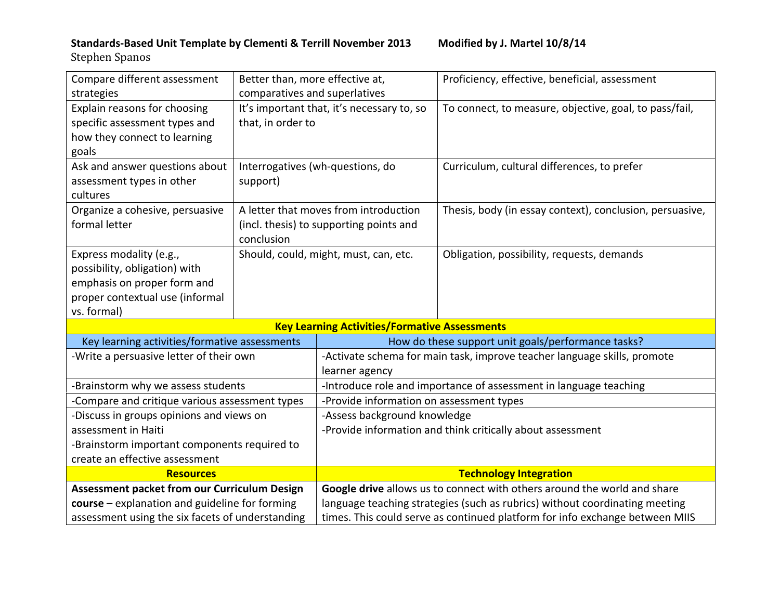## Standards-Based Unit Template by Clementi & Terrill November 2013 Modified by J. Martel 10/8/14

Stephen Spanos

| Compare different assessment                        | Better than, more effective at, |                                                                             | Proficiency, effective, beneficial, assessment                               |  |
|-----------------------------------------------------|---------------------------------|-----------------------------------------------------------------------------|------------------------------------------------------------------------------|--|
| strategies                                          | comparatives and superlatives   |                                                                             |                                                                              |  |
| Explain reasons for choosing                        |                                 | It's important that, it's necessary to, so                                  | To connect, to measure, objective, goal, to pass/fail,                       |  |
| specific assessment types and                       | that, in order to               |                                                                             |                                                                              |  |
| how they connect to learning                        |                                 |                                                                             |                                                                              |  |
| goals                                               |                                 |                                                                             |                                                                              |  |
| Ask and answer questions about                      |                                 | Interrogatives (wh-questions, do                                            | Curriculum, cultural differences, to prefer                                  |  |
| assessment types in other                           | support)                        |                                                                             |                                                                              |  |
| cultures                                            |                                 |                                                                             |                                                                              |  |
| Organize a cohesive, persuasive                     |                                 | A letter that moves from introduction                                       | Thesis, body (in essay context), conclusion, persuasive,                     |  |
| formal letter                                       |                                 | (incl. thesis) to supporting points and                                     |                                                                              |  |
|                                                     | conclusion                      |                                                                             |                                                                              |  |
| Express modality (e.g.,                             |                                 | Should, could, might, must, can, etc.                                       | Obligation, possibility, requests, demands                                   |  |
| possibility, obligation) with                       |                                 |                                                                             |                                                                              |  |
| emphasis on proper form and                         |                                 |                                                                             |                                                                              |  |
| proper contextual use (informal                     |                                 |                                                                             |                                                                              |  |
| vs. formal)                                         |                                 |                                                                             |                                                                              |  |
|                                                     |                                 | <b>Key Learning Activities/Formative Assessments</b>                        |                                                                              |  |
| Key learning activities/formative assessments       |                                 | How do these support unit goals/performance tasks?                          |                                                                              |  |
| -Write a persuasive letter of their own             |                                 | -Activate schema for main task, improve teacher language skills, promote    |                                                                              |  |
|                                                     |                                 | learner agency                                                              |                                                                              |  |
| -Brainstorm why we assess students                  |                                 | -Introduce role and importance of assessment in language teaching           |                                                                              |  |
| -Compare and critique various assessment types      |                                 | -Provide information on assessment types                                    |                                                                              |  |
| -Discuss in groups opinions and views on            |                                 | -Assess background knowledge                                                |                                                                              |  |
| assessment in Haiti                                 |                                 | -Provide information and think critically about assessment                  |                                                                              |  |
| -Brainstorm important components required to        |                                 |                                                                             |                                                                              |  |
| create an effective assessment                      |                                 |                                                                             |                                                                              |  |
| <b>Resources</b>                                    |                                 | <b>Technology Integration</b>                                               |                                                                              |  |
| <b>Assessment packet from our Curriculum Design</b> |                                 | Google drive allows us to connect with others around the world and share    |                                                                              |  |
| course - explanation and guideline for forming      |                                 | language teaching strategies (such as rubrics) without coordinating meeting |                                                                              |  |
| assessment using the six facets of understanding    |                                 |                                                                             | times. This could serve as continued platform for info exchange between MIIS |  |